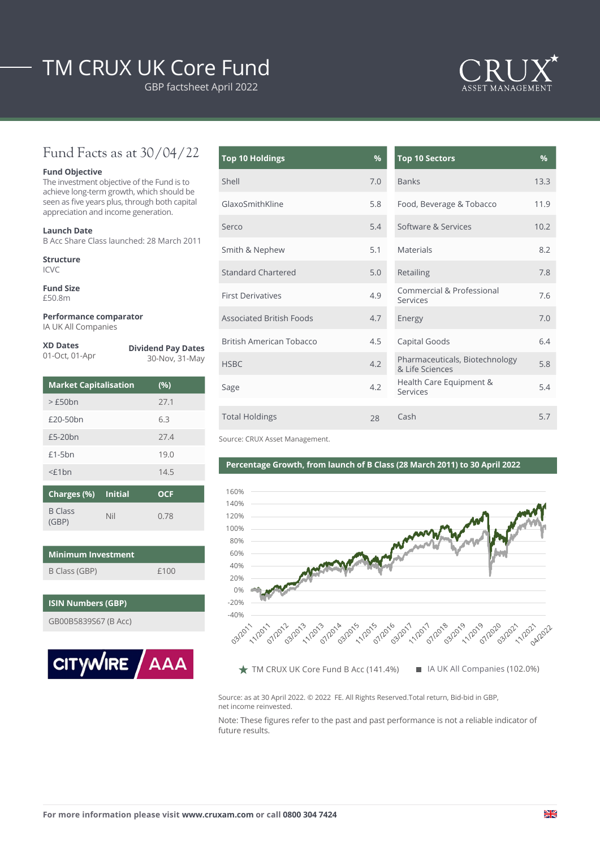# TM CRUX UK Core Fund

GBP factsheet April 2022



## Fund Facts as at 30/04/22

#### **Fund Objective**

The investment objective of the Fund is to achieve long-term growth, which should be seen as five years plus, through both capital appreciation and income generation.

#### **Launch Date**

B Acc Share Class launched: 28 March 2011

**Structure** ICVC

**Fund Size** £50.8m

**Performance comparator** IA UK All Companies

#### **XD Dates**

| 01-Oct, 01-Apr |  |  |
|----------------|--|--|

**Dividend Pay Dates** 30-Nov, 31-May

| <b>Market Capitalisation</b> | (%)  |
|------------------------------|------|
| >£50bn                       | 27.1 |
| £20-50bn                     | 6.3  |
| £5-20 <sub>bn</sub>          | 27.4 |
| $£1-5bn$                     | 19.0 |
| $<$ £1 $bn$                  | 14.5 |
| ------                       |      |

| Charges (%) Initial     |     | OCF  |
|-------------------------|-----|------|
| <b>B</b> Class<br>(GBP) | Nil | 0.78 |

| <b>Minimum Investment</b> |      |  |  |
|---------------------------|------|--|--|
| B Class (GBP)             | f100 |  |  |

### **ISIN Numbers (GBP)**

GB00B5839S67 (B Acc)



| <b>Top 10 Holdings</b>          | %   | <b>Top 10 Sectors</b>                             | $\frac{9}{6}$ |
|---------------------------------|-----|---------------------------------------------------|---------------|
| Shell                           | 7.0 | <b>Banks</b>                                      | 13.3          |
| GlaxoSmithKline                 | 5.8 | Food, Beverage & Tobacco                          | 11.9          |
| Serco                           | 5.4 | Software & Services                               | 10.2          |
| Smith & Nephew                  | 5.1 | Materials                                         | 8.2           |
| <b>Standard Chartered</b>       | 5.0 | Retailing                                         | 7.8           |
| <b>First Derivatives</b>        | 4.9 | Commercial & Professional<br>Services             | 7.6           |
| <b>Associated British Foods</b> | 4.7 | Energy                                            | 7.0           |
| British American Tobacco        | 4.5 | Capital Goods                                     | 6.4           |
| <b>HSBC</b>                     | 4.2 | Pharmaceuticals, Biotechnology<br>& Life Sciences | 5.8           |
| Sage                            | 4.2 | Health Care Equipment &<br>Services               | 5.4           |
| <b>Total Holdings</b>           | 28  | Cash                                              | 5.7           |

| <b>Top 10 Sectors</b>                             | %    |
|---------------------------------------------------|------|
| <b>Banks</b>                                      | 13.3 |
| Food, Beverage & Tobacco                          | 11.9 |
| Software & Services                               | 10.2 |
| <b>Materials</b>                                  | 8.2  |
| Retailing                                         | 7.8  |
| Commercial & Professional<br>Services             | 7.6  |
| Energy                                            | 7.0  |
| Capital Goods                                     | 6.4  |
| Pharmaceuticals, Biotechnology<br>& Life Sciences | 5.8  |
| Health Care Equipment &<br>Services               | 5.4  |
| Cash                                              | 5.7  |

Source: CRUX Asset Management.

### **Percentage Growth, from launch of B Class (28 March 2011) to 30 April 2022**



Source: as at 30 April 2022. © 2022 FE. All Rights Reserved.Total return, Bid-bid in GBP, net income reinvested.

Note: These figures refer to the past and past performance is not a reliable indicator of future results.